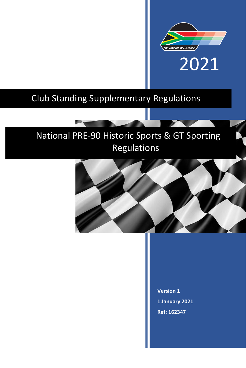

# Club Standing Supplementary Regulations

# National PRE-90 Historic Sports & GT Sporting Regulations



**Version 1 1 January 2021 Ref: 162347**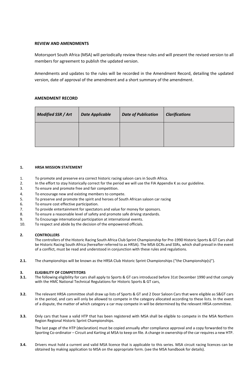# **REVIEW AND AMENDMENTS**

Motorsport South Africa (MSA) will periodically review these rules and will present the revised version to all members for agreement to publish the updated version.

Amendments and updates to the rules will be recorded in the Amendment Record, detailing the updated version, date of approval of the amendment and a short summary of the amendment.

# **AMENDMENT RECORD**

| Modified SSR / Art | <b>Date Applicable</b> | <b>Date of Publication</b> | <b>Clarifications</b> |
|--------------------|------------------------|----------------------------|-----------------------|
|                    |                        |                            |                       |

# **1. HRSA MISSION STATEMENT**

- 1. To promote and preserve era correct historic racing saloon cars in South Africa.
- 2. In the effort to stay historically correct for the period we will use the FIA Appendix K as our guideline.
- 3. To ensure and promote free and fair competition.
- 4. To encourage new and existing members to compete.
- 5. To preserve and promote the spirit and heroes of South African saloon car racing
- 6. To ensure cost effective participation.
- 7. To provide entertainment for spectators and value for money for sponsors.
- 8. To ensure a reasonable level of safety and promote safe driving standards.
- 9. To Encourage international participation at international events.
- 10. To respect and abide by the decision of the empowered officials.

# **2. CONTROLLERS**

The controllers of the Historic Racing South Africa Club Sprint Championship for Pre-1990 Historic Sports & GT Cars shall be Historic Racing South Africa (hereafter referred to as HRSA). The MSA GCRs and SSRs, which shall prevail in the event of a conflict, must be read and understood in conjunction with these rules and regulations.

**2.1.** The championships will be known as the HRSA Club Historic Sprint Championships ("the Championship(s)").

# **3. ELIGIBILITY OF COMPETITORS**

- **3.1.** The following eligibility for cars shall apply to Sports & GT cars introduced before 31st December 1990 and that comply with the HMC National Technical Regulations for Historic Sports & GT cars,
- **3.2.** The relevant HRSA committee shall draw up lists of Sports & GT and 2 Door Saloon Cars that were eligible as S&GT cars in the period, and cars will only be allowed to compete in the category allocated according to these lists. In the event of a dispute, the matter of which category a car may compete in will be determined by the relevant HRSA committee.
- **3.3.** Only cars that have a valid HTP that has been registered with MSA shall be eligible to compete in the MSA Northern Region Regional Historic Sprint Championships.

The last page of the HTP (declaration) must be copied annually after compliance approval and a copy forwarded to the Sporting Co-ordinator – Circuit and Karting at MSA to keep on file. A change in ownership of the car requires a new HTP.

**3.4.** Drivers must hold a current and valid MSA licence that is applicable to this series. MSA circuit racing licences can be obtained by making application to MSA on the appropriate form. (see the MSA handbook for details).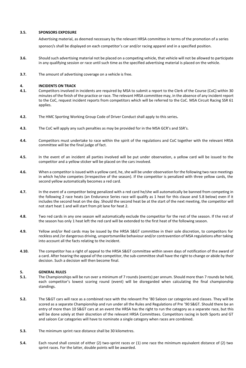#### **3.5. SPONSORS EXPOSURE**

Advertising material, as deemed necessary by the relevant HRSA committee in terms of the promotion of a series

sponsor/s shall be displayed on each competitor's car and/or racing apparel and in a specified position.

- **3.6.** Should such advertising material not be placed on a competing vehicle, that vehicle will not be allowed to participate in any qualifying session or race until such time as the specified advertising material is placed on the vehicle.
- **3.7.** The amount of advertising coverage on a vehicle is free.

#### **4. INCIDENTS ON TRACK**

- **4.1.** Competitors involved in incidents are required by MSA to submit a report to the Clerk of the Course (CoC) within 30 minutes of the finish of the practice or race. The relevant HRSA committee may, in the absence of any incident report to the CoC, request incident reports from competitors which will be referred to the CoC. MSA Circuit Racing SSR 61 applies.
- **4.2.** The HMC Sporting Working Group Code of Driver Conduct shall apply to this series**.**
- **4.3.** The CoC will apply any such penalties as may be provided for in the MSA GCR's and SSR's.
- **4.4.** Competitors must undertake to race within the spirit of the regulations and CoC together with the relevant HRSA committee will be the final judge of fact.
- **4.5.** In the event of an incident all parties involved will be put under observation, a yellow card will be issued to the competitor and a yellow sticker will be placed on the cars involved.
- **4.6.** When a competitor is issued with a yellow card, he, she will be under observation for the following two race meetings in which he/she competes (irrespective of the season). If the competitor is penalized with three yellow cards, the second yellow automatically becomes a red card.
- **4.7.** In the event of a competitor being penalized with a red card he/she will automatically be banned from competing in the following 2 race heats (an Endurance Series race will qualify as 1 heat for this clause and 5.8 below) even if it includes the second heat on the day. Should the second heat be at the start of the next meeting, the competitor will not start heat 1 and will start from pit lane for heat 2.
- **4.8.** Two red cards in any one season will automatically exclude the competitor for the rest of the season. If the rest of the season has only 1 heat left the red card will be extended to the first heat of the following season.
- 4.9. Yellow and/or Red cards may be issued by the HRSA S&GT committee in their sole discretion, to competitors for reckless and /or dangerous driving, unsportsmanlike behaviour and/or contravention of MSA regulations after taking into account all the facts relating to the incident.
- 4.10. The competitor has a right of appeal to the HRSA S&GT committee within seven days of notification of the award of a card. After hearing the appeal of the competitor, the sub-committee shall have the right to change or abide by their decision. Such a decision will then become final.

# **5. GENERAL RULES**

- **5.1.** The Championships will be run over a minimum of 7 rounds (events) per annum. Should more than 7 rounds be held, each competitor's lowest scoring round (event) will be disregarded when calculating the final championship standings.
- 5.2. The S&GT cars will race as a combined race with the relevant Pre '80 Saloon car categories and classes. They will be scored as a separate Championship and run under all the Rules and Regulations of Pre '90 S&GT. Should there be an entry of more than 10 S&GT cars at an event the HRSA has the right to run the category as a separate race, but this will be done solely at their discretion of the relevant HRSA Committees. Competitors racing in both Sports and GT and saloon Car categories will have to nominate a single category when races are combined.
- **5.3.** The minimum sprint race distance shall be 30 kilometres.
- **5.4.** Each round shall consist of either (2) two-sprint races or (1) one race the minimum equivalent distance of (2) two sprint races. For the latter, double points will be awarded.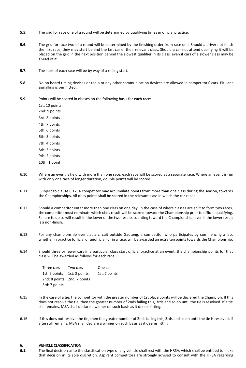- **5.5.** The grid for race one of a round will be determined by qualifying times in official practice.
- **5.6.** The grid for race two of a round will be determined by the finishing order from race one. Should a driver not finish the first race, they may start behind the last car of their relevant class. Should a car not attend qualifying it will be placed on the grid in the next position behind the slowest qualifier in its class, even if cars of a slower class may be ahead of it.
- **5.7.** The start of each race will be by way of a rolling start.
- **5.8.** No on board timing devices or radio or any other communication devices are allowed in competitors' cars. Pit Lane signalling is permitted.
- **5.9.** Points will be scored in classes on the following basis for each race:

1st: 10 points 2nd: 9 points 3rd: 8 points 4th: 7 points 5th: 6 points 6th: 5 points 7th: 4 points 8th: 3 points 9th: 2 points 10th: 1 point

- 6.10 Where an event is held with more than one race, each race will be scored as a separate race. Where an event is run with only one race of longer duration, double points will be scored.
- 6.11 Subject to clause 6.12, a competitor may accumulate points from more than one class during the season, towards the Championships. All class points shall be scored in the relevant class in which the car raced.
- 6.12 Should a competitor enter more than one class on one day, in the case of where classes are split to form two races, the competitor must nominate which class result will be scored toward the Championship prior to official qualifying. Failure to do so will result in the lower of the two results counting toward the Championship, even if the lower result is a non-finish.
- 6.13 For any championship event at a circuit outside Gauteng, a competitor who participates by commencing a lap, whether in practice (official or unofficial) or in a race, will be awarded an extra ten points towards the Championship.
- 6.14 Should three or fewer cars in a particular class start official practice at an event, the championship points for that class will be awarded as follows for each race:

| Three cars                  | Two cars | One car       |
|-----------------------------|----------|---------------|
| 1st: 9 points 1st: 8 points |          | 1st: 7 points |
| 2nd: 8 points 2nd: 7 points |          |               |
| 3rd: 7 points               |          |               |

- 6.15 In the case of a tie, the competitor with the greater number of 1st place points will be declared the Champion. If this does not resolve the tie, then the greater number of 2nds failing this, 3rds and so on until the tie is resolved. If a tie still remains, MSA shall declare a winner on such basis as it deems fitting.
- 6.16 If this does not resolve the tie, then the greater number of 2nds failing this, 3rds and so on until the tie is resolved. If a tie still remains, MSA shall declare a winner on such basis as it deems fitting.

#### **6. VEHICLE CLASSIFICATION**

**6.1.** The final decision as to the classification type of any vehicle shall rest with the HRSA, which shall be entitled to make that decision in its sole discretion. Aspirant competitors are strongly advised to consult with the HRSA regarding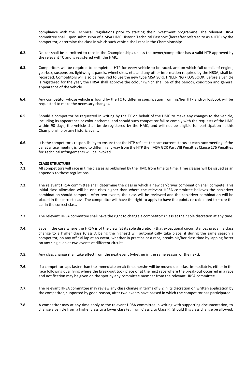compliance with the Technical Regulations prior to starting their investment programme. The relevant HRSA committee shall, upon submission of a MSA HMC Historic Technical Passport (hereafter referred to as a HTP) by the competitor, determine the class in which such vehicle shall race in the Championships.

- **6.2.** No car shall be permitted to race in the Championships unless the owner/competitor has a valid HTP approved by the relevant TC and is registered with the HMC.
- **6.3.** Competitors will be required to complete a HTP for every vehicle to be raced, and on which full details of engine, gearbox, suspension, lightweight panels, wheel sizes, etc. and any other information required by the HRSA, shall be recorded. Competitors will also be required to use the new type MSA SCRUTINEERING / LOGBOOK. Before a vehicle is registered for the year, the HRSA shall approve the colour (which shall be of the period), condition and general appearance of the vehicle.
- **6.4.** Any competitor whose vehicle is found by the TC to differ in specification from his/her HTP and/or logbook will be requested to make the necessary changes.
- **6.5.** Should a competitor be requested in writing by the TC on behalf of the HMC to make any changes to the vehicle, including its appearance or colour scheme, and should such competitor fail to comply with the requests of the HMC within 90 days, the vehicle shall be de-registered by the HMC, and will not be eligible for participation in this Championship or any historic event.
- **6.6.** It is the competitor's responsibility to ensure that the HTP reflects the cars current status at each race meeting. If the car at a race meeting is found to differ in any way from the HTP then MSA GCR Part VIII Penalties Clause 176 Penalties for Technical Infringements will be invoked.

# **7. CLASS STRUCTURE**<br>**7.1.** All competitors will

- **7.1.** All competitors will race in time classes as published by the HMC from time to time. Time classes will be issued as an appendix to these regulations.
- **7.2.** The relevant HRSA committee shall determine the class in which a new car/driver combination shall compete. This initial class allocation will be one class higher than where the relevant HRSA committee believes the car/driver combination should compete. After two events, the class will be reviewed and the car/driver combination will be placed in the correct class. The competitor will have the right to apply to have the points re-calculated to score the car in the correct class.
- **7.3.** The relevant HRSA committee shall have the right to change a competitor's class at their sole discretion at any time.
- **7.4.** Save in the case where the HRSA is of the view (at its sole discretion) that exceptional circumstances prevail, a class change to a higher class (Class A being the highest) will automatically take place, if during the same season a competitor, on any official lap at an event, whether in practice or a race, breaks his/her class time by lapping faster on any single lap at two events at different circuits.
- **7.5.** Any class change shall take effect from the next event (whether in the same season or the next).
- **7.6.** If a competitor laps faster than the immediate break time, he/she will be moved up a class immediately, either in the race following qualifying where the break-out took place or at the next race where the break-out occurred in a race and notification may be given on the spot by any committee member from the relevant HRSA committee.
- **7.7.** The relevant HRSA committee may review any class change in terms of 8.2 in its discretion on written application by the competitor, supported by good reason, after two events have passed in which the competitor has participated.
- **7.8.** A competitor may at any time apply to the relevant HRSA committee in writing with supporting documentation, to change a vehicle from a higher class to a lower class (eg from Class E to Class F). Should this class change be allowed,